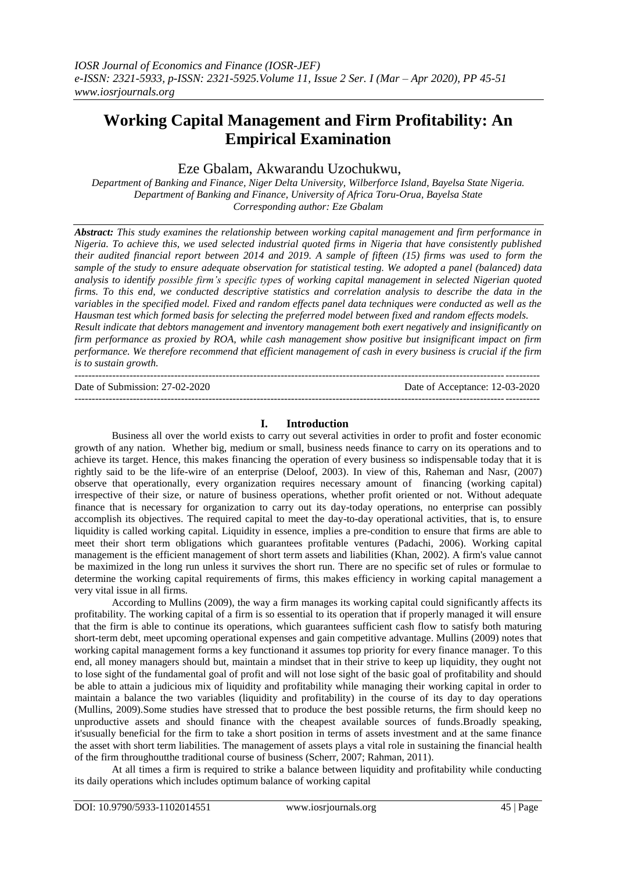# **Working Capital Management and Firm Profitability: An Empirical Examination**

## Eze Gbalam, Akwarandu Uzochukwu,

*Department of Banking and Finance, Niger Delta University, Wilberforce Island, Bayelsa State Nigeria. Department of Banking and Finance, University of Africa Toru-Orua, Bayelsa State Corresponding author: Eze Gbalam*

*Abstract: This study examines the relationship between working capital management and firm performance in Nigeria. To achieve this, we used selected industrial quoted firms in Nigeria that have consistently published their audited financial report between 2014 and 2019. A sample of fifteen (15) firms was used to form the sample of the study to ensure adequate observation for statistical testing. We adopted a panel (balanced) data analysis to identify possible firm's specific types of working capital management in selected Nigerian quoted firms. To this end, we conducted descriptive statistics and correlation analysis to describe the data in the variables in the specified model. Fixed and random effects panel data techniques were conducted as well as the Hausman test which formed basis for selecting the preferred model between fixed and random effects models. Result indicate that debtors management and inventory management both exert negatively and insignificantly on firm performance as proxied by ROA, while cash management show positive but insignificant impact on firm performance. We therefore recommend that efficient management of cash in every business is crucial if the firm is to sustain growth.* ---------------------------------------------------------------------------------------------------------------------------------------

Date of Submission: 27-02-2020 Date of Acceptance: 12-03-2020

#### **I. Introduction**

---------------------------------------------------------------------------------------------------------------------------------------

Business all over the world exists to carry out several activities in order to profit and foster economic growth of any nation. Whether big, medium or small, business needs finance to carry on its operations and to achieve its target. Hence, this makes financing the operation of every business so indispensable today that it is rightly said to be the life-wire of an enterprise (Deloof, 2003). In view of this, Raheman and Nasr, (2007) observe that operationally, every organization requires necessary amount of financing (working capital) irrespective of their size, or nature of business operations, whether profit oriented or not. Without adequate finance that is necessary for organization to carry out its day-today operations, no enterprise can possibly accomplish its objectives. The required capital to meet the day-to-day operational activities, that is, to ensure liquidity is called working capital. Liquidity in essence, implies a pre-condition to ensure that firms are able to meet their short term obligations which guarantees profitable ventures (Padachi, 2006). Working capital management is the efficient management of short term assets and liabilities (Khan, 2002). A firm's value cannot be maximized in the long run unless it survives the short run. There are no specific set of rules or formulae to determine the working capital requirements of firms, this makes efficiency in working capital management a very vital issue in all firms.

According to Mullins (2009), the way a firm manages its working capital could significantly affects its profitability. The working capital of a firm is so essential to its operation that if properly managed it will ensure that the firm is able to continue its operations, which guarantees sufficient cash flow to satisfy both maturing short-term debt, meet upcoming operational expenses and gain competitive advantage. Mullins (2009) notes that working capital management forms a key functionand it assumes top priority for every finance manager. To this end, all money managers should but, maintain a mindset that in their strive to keep up liquidity, they ought not to lose sight of the fundamental goal of profit and will not lose sight of the basic goal of profitability and should be able to attain a judicious mix of liquidity and profitability while managing their working capital in order to maintain a balance the two variables (liquidity and profitability) in the course of its day to day operations (Mullins, 2009).Some studies have stressed that to produce the best possible returns, the firm should keep no unproductive assets and should finance with the cheapest available sources of funds.Broadly speaking, it'susually beneficial for the firm to take a short position in terms of assets investment and at the same finance the asset with short term liabilities. The management of assets plays a vital role in sustaining the financial health of the firm throughoutthe traditional course of business (Scherr, 2007; Rahman, 2011).

At all times a firm is required to strike a balance between liquidity and profitability while conducting its daily operations which includes optimum balance of working capital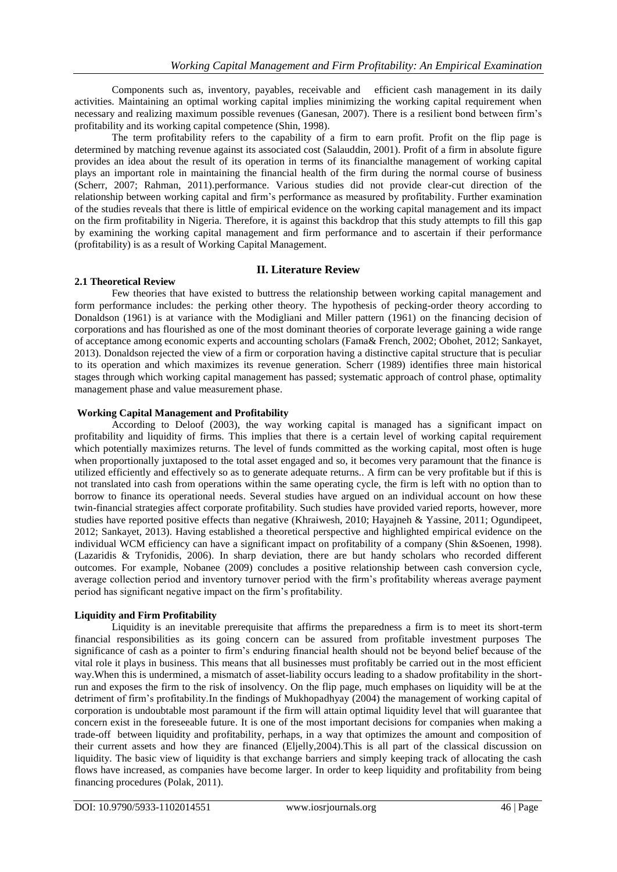Components such as, inventory, payables, receivable and efficient cash management in its daily activities. Maintaining an optimal working capital implies minimizing the working capital requirement when necessary and realizing maximum possible revenues (Ganesan, 2007). There is a resilient bond between firm"s profitability and its working capital competence (Shin, 1998).

The term profitability refers to the capability of a firm to earn profit. Profit on the flip page is determined by matching revenue against its associated cost (Salauddin, 2001). Profit of a firm in absolute figure provides an idea about the result of its operation in terms of its financialthe management of working capital plays an important role in maintaining the financial health of the firm during the normal course of business (Scherr, 2007; Rahman, 2011).performance. Various studies did not provide clear-cut direction of the relationship between working capital and firm"s performance as measured by profitability. Further examination of the studies reveals that there is little of empirical evidence on the working capital management and its impact on the firm profitability in Nigeria. Therefore, it is against this backdrop that this study attempts to fill this gap by examining the working capital management and firm performance and to ascertain if their performance (profitability) is as a result of Working Capital Management.

### **II. Literature Review**

#### **2.1 Theoretical Review**

Few theories that have existed to buttress the relationship between working capital management and form performance includes: the perking other theory. The hypothesis of pecking-order theory according to Donaldson (1961) is at variance with the Modigliani and Miller pattern (1961) on the financing decision of corporations and has flourished as one of the most dominant theories of corporate leverage gaining a wide range of acceptance among economic experts and accounting scholars (Fama& French, 2002; Obohet, 2012; Sankayet, 2013). Donaldson rejected the view of a firm or corporation having a distinctive capital structure that is peculiar to its operation and which maximizes its revenue generation. Scherr (1989) identifies three main historical stages through which working capital management has passed; systematic approach of control phase, optimality management phase and value measurement phase.

#### **Working Capital Management and Profitability**

According to Deloof (2003), the way working capital is managed has a significant impact on profitability and liquidity of firms. This implies that there is a certain level of working capital requirement which potentially maximizes returns. The level of funds committed as the working capital, most often is huge when proportionally juxtaposed to the total asset engaged and so, it becomes very paramount that the finance is utilized efficiently and effectively so as to generate adequate returns.. A firm can be very profitable but if this is not translated into cash from operations within the same operating cycle, the firm is left with no option than to borrow to finance its operational needs. Several studies have argued on an individual account on how these twin-financial strategies affect corporate profitability. Such studies have provided varied reports, however, more studies have reported positive effects than negative (Khraiwesh, 2010; Hayajneh & Yassine, 2011; Ogundipeet, 2012; Sankayet, 2013). Having established a theoretical perspective and highlighted empirical evidence on the individual WCM efficiency can have a significant impact on profitability of a company (Shin &Soenen, 1998). (Lazaridis & Tryfonidis, 2006). In sharp deviation, there are but handy scholars who recorded different outcomes. For example, Nobanee (2009) concludes a positive relationship between cash conversion cycle, average collection period and inventory turnover period with the firm"s profitability whereas average payment period has significant negative impact on the firm"s profitability.

#### **Liquidity and Firm Profitability**

Liquidity is an inevitable prerequisite that affirms the preparedness a firm is to meet its short-term financial responsibilities as its going concern can be assured from profitable investment purposes The significance of cash as a pointer to firm"s enduring financial health should not be beyond belief because of the vital role it plays in business. This means that all businesses must profitably be carried out in the most efficient way.When this is undermined, a mismatch of asset-liability occurs leading to a shadow profitability in the shortrun and exposes the firm to the risk of insolvency. On the flip page, much emphases on liquidity will be at the detriment of firm"s profitability.In the findings of Mukhopadhyay (2004) the management of working capital of corporation is undoubtable most paramount if the firm will attain optimal liquidity level that will guarantee that concern exist in the foreseeable future. It is one of the most important decisions for companies when making a trade-off between liquidity and profitability, perhaps, in a way that optimizes the amount and composition of their current assets and how they are financed (Eljelly,2004).This is all part of the classical discussion on liquidity. The basic view of liquidity is that exchange barriers and simply keeping track of allocating the cash flows have increased, as companies have become larger. In order to keep liquidity and profitability from being financing procedures (Polak, 2011).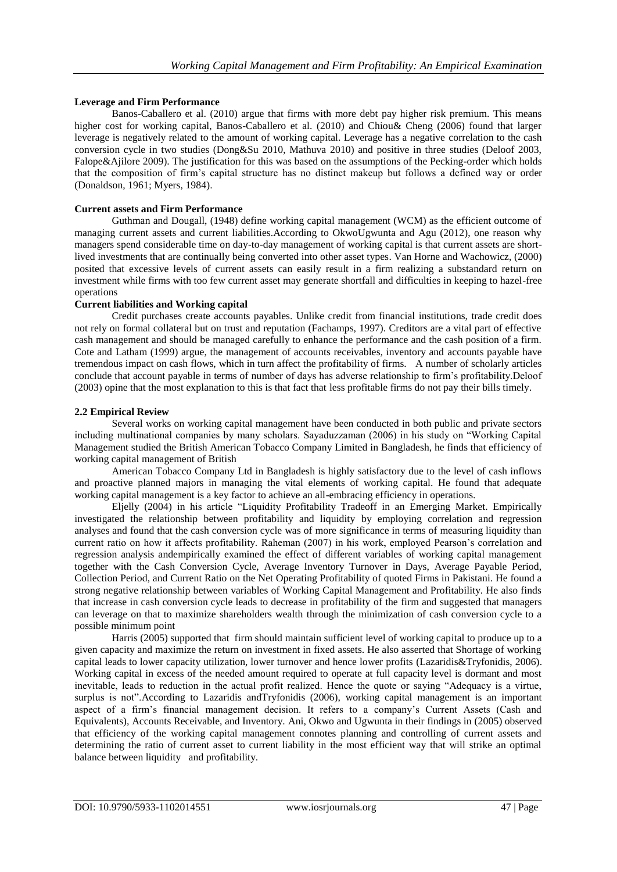## **Leverage and Firm Performance**

Banos-Caballero et al. (2010) argue that firms with more debt pay higher risk premium. This means higher cost for working capital, Banos-Caballero et al. (2010) and Chiou& Cheng (2006) found that larger leverage is negatively related to the amount of working capital. Leverage has a negative correlation to the cash conversion cycle in two studies (Dong&Su 2010, Mathuva 2010) and positive in three studies (Deloof 2003, Falope&Ajilore 2009). The justification for this was based on the assumptions of the Pecking-order which holds that the composition of firm"s capital structure has no distinct makeup but follows a defined way or order (Donaldson, 1961; Myers, 1984).

#### **Current assets and Firm Performance**

Guthman and Dougall, (1948) define working capital management (WCM) as the efficient outcome of managing current assets and current liabilities.According to OkwoUgwunta and Agu (2012), one reason why managers spend considerable time on day-to-day management of working capital is that current assets are shortlived investments that are continually being converted into other asset types. Van Horne and Wachowicz, (2000) posited that excessive levels of current assets can easily result in a firm realizing a substandard return on investment while firms with too few current asset may generate shortfall and difficulties in keeping to hazel-free operations

#### **Current liabilities and Working capital**

Credit purchases create accounts payables. Unlike credit from financial institutions, trade credit does not rely on formal collateral but on trust and reputation (Fachamps, 1997). Creditors are a vital part of effective cash management and should be managed carefully to enhance the performance and the cash position of a firm. Cote and Latham (1999) argue, the management of accounts receivables, inventory and accounts payable have tremendous impact on cash flows, which in turn affect the profitability of firms. A number of scholarly articles conclude that account payable in terms of number of days has adverse relationship to firm"s profitability.Deloof (2003) opine that the most explanation to this is that fact that less profitable firms do not pay their bills timely.

#### **2.2 Empirical Review**

Several works on working capital management have been conducted in both public and private sectors including multinational companies by many scholars. Sayaduzzaman (2006) in his study on "Working Capital Management studied the British American Tobacco Company Limited in Bangladesh, he finds that efficiency of working capital management of British

American Tobacco Company Ltd in Bangladesh is highly satisfactory due to the level of cash inflows and proactive planned majors in managing the vital elements of working capital. He found that adequate working capital management is a key factor to achieve an all-embracing efficiency in operations.

Eljelly (2004) in his article "Liquidity Profitability Tradeoff in an Emerging Market. Empirically investigated the relationship between profitability and liquidity by employing correlation and regression analyses and found that the cash conversion cycle was of more significance in terms of measuring liquidity than current ratio on how it affects profitability. Raheman (2007) in his work, employed Pearson"s correlation and regression analysis andempirically examined the effect of different variables of working capital management together with the Cash Conversion Cycle, Average Inventory Turnover in Days, Average Payable Period, Collection Period, and Current Ratio on the Net Operating Profitability of quoted Firms in Pakistani. He found a strong negative relationship between variables of Working Capital Management and Profitability. He also finds that increase in cash conversion cycle leads to decrease in profitability of the firm and suggested that managers can leverage on that to maximize shareholders wealth through the minimization of cash conversion cycle to a possible minimum point

Harris (2005) supported that firm should maintain sufficient level of working capital to produce up to a given capacity and maximize the return on investment in fixed assets. He also asserted that Shortage of working capital leads to lower capacity utilization, lower turnover and hence lower profits (Lazaridis&Tryfonidis, 2006). Working capital in excess of the needed amount required to operate at full capacity level is dormant and most inevitable, leads to reduction in the actual profit realized. Hence the quote or saying "Adequacy is a virtue, surplus is not".According to Lazaridis andTryfonidis (2006), working capital management is an important aspect of a firm's financial management decision. It refers to a company's Current Assets (Cash and Equivalents), Accounts Receivable, and Inventory. Ani, Okwo and Ugwunta in their findings in (2005) observed that efficiency of the working capital management connotes planning and controlling of current assets and determining the ratio of current asset to current liability in the most efficient way that will strike an optimal balance between liquidity and profitability.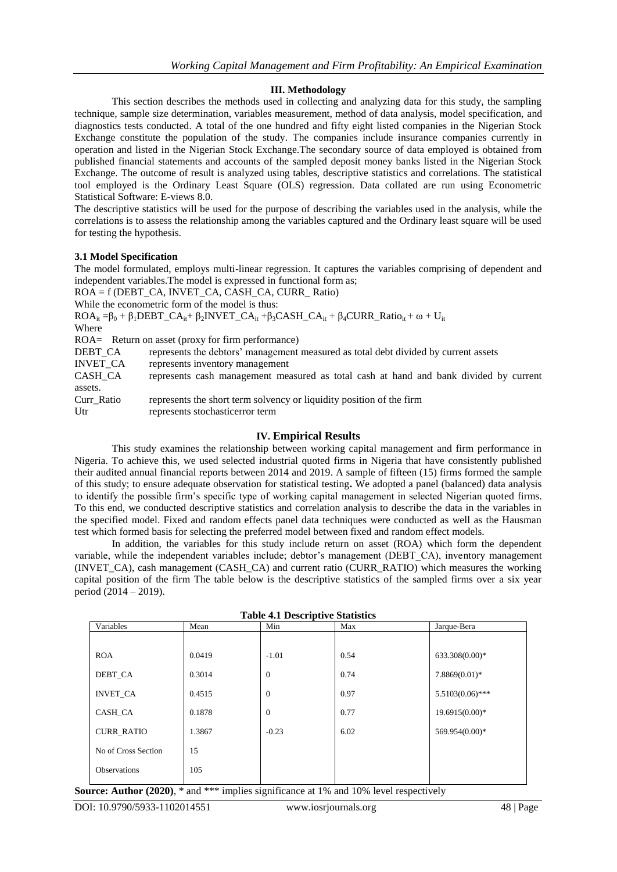#### **III. Methodology**

This section describes the methods used in collecting and analyzing data for this study, the sampling technique, sample size determination, variables measurement, method of data analysis, model specification, and diagnostics tests conducted. A total of the one hundred and fifty eight listed companies in the Nigerian Stock Exchange constitute the population of the study. The companies include insurance companies currently in operation and listed in the Nigerian Stock Exchange.The secondary source of data employed is obtained from published financial statements and accounts of the sampled deposit money banks listed in the Nigerian Stock Exchange. The outcome of result is analyzed using tables, descriptive statistics and correlations. The statistical tool employed is the Ordinary Least Square (OLS) regression. Data collated are run using Econometric Statistical Software: E-views 8.0.

The descriptive statistics will be used for the purpose of describing the variables used in the analysis, while the correlations is to assess the relationship among the variables captured and the Ordinary least square will be used for testing the hypothesis.

#### **3.1 Model Specification**

The model formulated, employs multi-linear regression. It captures the variables comprising of dependent and independent variables.The model is expressed in functional form as;

ROA = f (DEBT\_CA, INVET\_CA, CASH\_CA, CURR\_ Ratio)

While the econometric form of the model is thus:

 $ROA_{it} = \beta_0 + \beta_1 DEBT\_CA_{it} + \beta_2 INVERT\_CA_{it} + \beta_3 CASH\_CA_{it} + \beta_4 CURR\_Ratio_{it} + \omega + U_{it}$ Where

ROA= Return on asset (proxy for firm performance)

DEBT\_CA represents the debtors' management measured as total debt divided by current assets INVET\_CA represents inventory management CASH\_CA represents cash management measured as total cash at hand and bank divided by current assets. Curr\_Ratio represents the short term solvency or liquidity position of the firm

Utr represents stochasticerror term

#### **IV. Empirical Results**

This study examines the relationship between working capital management and firm performance in Nigeria. To achieve this, we used selected industrial quoted firms in Nigeria that have consistently published their audited annual financial reports between 2014 and 2019. A sample of fifteen (15) firms formed the sample of this study; to ensure adequate observation for statistical testing**.** We adopted a panel (balanced) data analysis to identify the possible firm"s specific type of working capital management in selected Nigerian quoted firms. To this end, we conducted descriptive statistics and correlation analysis to describe the data in the variables in the specified model. Fixed and random effects panel data techniques were conducted as well as the Hausman test which formed basis for selecting the preferred model between fixed and random effect models.

In addition, the variables for this study include return on asset (ROA) which form the dependent variable, while the independent variables include; debtor"s management (DEBT\_CA), inventory management (INVET\_CA), cash management (CASH\_CA) and current ratio (CURR\_RATIO) which measures the working capital position of the firm The table below is the descriptive statistics of the sampled firms over a six year period (2014 – 2019).

**Table 4.1 Descriptive Statistics**

| Table 7.1 Descriptive Buildings |        |                |      |                    |  |  |  |  |
|---------------------------------|--------|----------------|------|--------------------|--|--|--|--|
| Variables                       | Mean   | Min            | Max  | Jarque-Bera        |  |  |  |  |
|                                 |        |                |      |                    |  |  |  |  |
| <b>ROA</b>                      | 0.0419 | $-1.01$        | 0.54 | 633.308(0.00)*     |  |  |  |  |
| DEBT CA                         | 0.3014 | $\overline{0}$ | 0.74 | $7.8869(0.01)*$    |  |  |  |  |
| <b>INVET CA</b>                 | 0.4515 | $\overline{0}$ | 0.97 | $5.5103(0.06)$ *** |  |  |  |  |
| CASH CA                         | 0.1878 | $\overline{0}$ | 0.77 | 19.6915(0.00)*     |  |  |  |  |
| <b>CURR RATIO</b>               | 1.3867 | $-0.23$        | 6.02 | 569.954(0.00)*     |  |  |  |  |
| No of Cross Section             | 15     |                |      |                    |  |  |  |  |
| <b>Observations</b>             | 105    |                |      |                    |  |  |  |  |
|                                 |        |                |      |                    |  |  |  |  |

**Source: Author (2020)**,  $*$  and  $***$  implies significance at 1% and 10% level respectively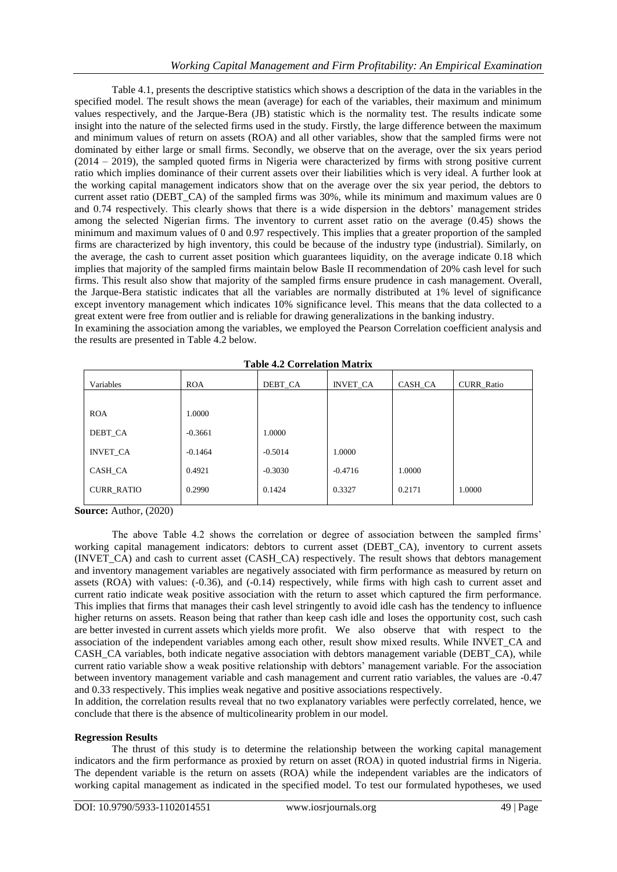Table 4.1, presents the descriptive statistics which shows a description of the data in the variables in the specified model. The result shows the mean (average) for each of the variables, their maximum and minimum values respectively, and the Jarque-Bera (JB) statistic which is the normality test. The results indicate some insight into the nature of the selected firms used in the study. Firstly, the large difference between the maximum and minimum values of return on assets (ROA) and all other variables, show that the sampled firms were not dominated by either large or small firms. Secondly, we observe that on the average, over the six years period (2014 – 2019), the sampled quoted firms in Nigeria were characterized by firms with strong positive current ratio which implies dominance of their current assets over their liabilities which is very ideal. A further look at the working capital management indicators show that on the average over the six year period, the debtors to current asset ratio (DEBT\_CA) of the sampled firms was 30%, while its minimum and maximum values are 0 and 0.74 respectively. This clearly shows that there is a wide dispersion in the debtors" management strides among the selected Nigerian firms. The inventory to current asset ratio on the average (0.45) shows the minimum and maximum values of 0 and 0.97 respectively. This implies that a greater proportion of the sampled firms are characterized by high inventory, this could be because of the industry type (industrial). Similarly, on the average, the cash to current asset position which guarantees liquidity, on the average indicate 0.18 which implies that majority of the sampled firms maintain below Basle II recommendation of 20% cash level for such firms. This result also show that majority of the sampled firms ensure prudence in cash management. Overall, the Jarque-Bera statistic indicates that all the variables are normally distributed at 1% level of significance except inventory management which indicates 10% significance level. This means that the data collected to a great extent were free from outlier and is reliable for drawing generalizations in the banking industry.

In examining the association among the variables, we employed the Pearson Correlation coefficient analysis and the results are presented in Table 4.2 below.

| Variables         | <b>ROA</b> | DEBT_CA   | <b>INVET_CA</b> | CASH_CA | <b>CURR_Ratio</b> |
|-------------------|------------|-----------|-----------------|---------|-------------------|
|                   |            |           |                 |         |                   |
| <b>ROA</b>        | 1.0000     |           |                 |         |                   |
| DEBT CA           | $-0.3661$  | 1.0000    |                 |         |                   |
| <b>INVET CA</b>   | $-0.1464$  | $-0.5014$ | 1.0000          |         |                   |
| CASH_CA           | 0.4921     | $-0.3030$ | $-0.4716$       | 1.0000  |                   |
| <b>CURR_RATIO</b> | 0.2990     | 0.1424    | 0.3327          | 0.2171  | 1.0000            |
|                   |            |           |                 |         |                   |

**Table 4.2 Correlation Matrix**

**Source:** Author, (2020)

The above Table 4.2 shows the correlation or degree of association between the sampled firms" working capital management indicators: debtors to current asset (DEBT\_CA), inventory to current assets (INVET CA) and cash to current asset (CASH\_CA) respectively. The result shows that debtors management and inventory management variables are negatively associated with firm performance as measured by return on assets (ROA) with values: (-0.36), and (-0.14) respectively, while firms with high cash to current asset and current ratio indicate weak positive association with the return to asset which captured the firm performance. This implies that firms that manages their cash level stringently to avoid idle cash has the tendency to influence higher returns on assets. Reason being that rather than keep cash idle and loses the opportunity cost, such cash are better invested in current assets which yields more profit. We also observe that with respect to the association of the independent variables among each other, result show mixed results. While INVET\_CA and CASH\_CA variables, both indicate negative association with debtors management variable (DEBT\_CA), while current ratio variable show a weak positive relationship with debtors" management variable. For the association between inventory management variable and cash management and current ratio variables, the values are -0.47 and 0.33 respectively. This implies weak negative and positive associations respectively.

In addition, the correlation results reveal that no two explanatory variables were perfectly correlated, hence, we conclude that there is the absence of multicolinearity problem in our model.

#### **Regression Results**

The thrust of this study is to determine the relationship between the working capital management indicators and the firm performance as proxied by return on asset (ROA) in quoted industrial firms in Nigeria. The dependent variable is the return on assets (ROA) while the independent variables are the indicators of working capital management as indicated in the specified model. To test our formulated hypotheses, we used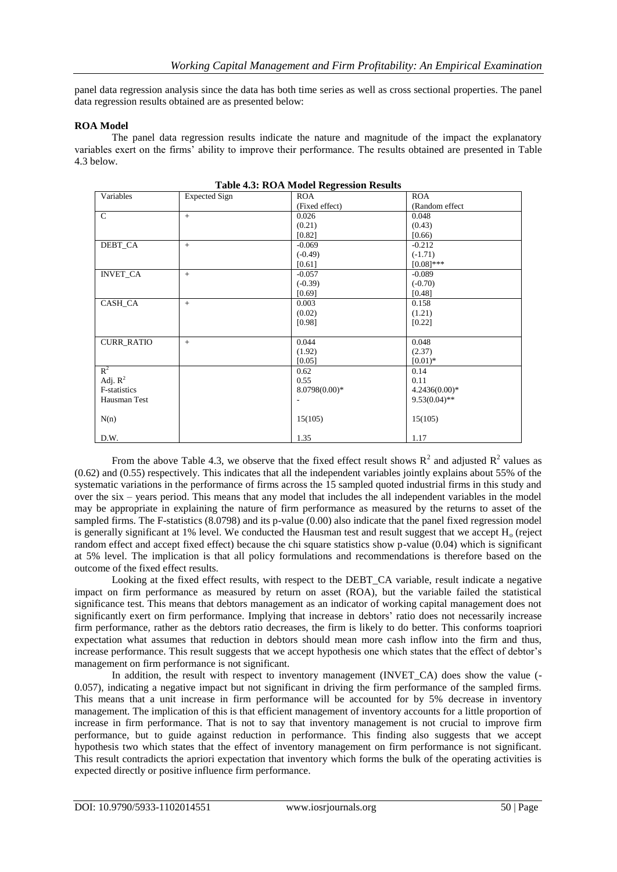panel data regression analysis since the data has both time series as well as cross sectional properties. The panel data regression results obtained are as presented below:

#### **ROA Model**

The panel data regression results indicate the nature and magnitude of the impact the explanatory variables exert on the firms" ability to improve their performance. The results obtained are presented in Table 4.3 below.

| Variables         | <b>Expected Sign</b> | <b>ROA</b>      | <b>ROA</b>      |
|-------------------|----------------------|-----------------|-----------------|
|                   |                      | (Fixed effect)  | (Random effect) |
| $\mathsf{C}$      | $+$                  | 0.026           | 0.048           |
|                   |                      | (0.21)          | (0.43)          |
|                   |                      | [0.82]          | [0.66)          |
| DEBT_CA           | $+$                  | $-0.069$        | $-0.212$        |
|                   |                      | $(-0.49)$       | $(-1.71)$       |
|                   |                      | [0.61]          | $[0.08]$ ***    |
| <b>INVET_CA</b>   | $+$                  | $-0.057$        | $-0.089$        |
|                   |                      | $(-0.39)$       | $(-0.70)$       |
|                   |                      | [0.69]          | [0.48]          |
| CASH_CA           | $+$                  | 0.003           | 0.158           |
|                   |                      | (0.02)          | (1.21)          |
|                   |                      | [0.98]          | [0.22]          |
|                   |                      |                 |                 |
| <b>CURR_RATIO</b> | $+$                  | 0.044           | 0.048           |
|                   |                      | (1.92)          | (2.37)          |
|                   |                      | [0.05]          | $[0.01)*$       |
| $R^2$             |                      | 0.62            | 0.14            |
| Adj. $R^2$        |                      | 0.55            | 0.11            |
| F-statistics      |                      | $8.0798(0.00)*$ | $4.2436(0.00)*$ |
| Hausman Test      |                      |                 | $9.53(0.04)$ ** |
|                   |                      |                 |                 |
| N(n)              |                      | 15(105)         | 15(105)         |
|                   |                      |                 |                 |
| D.W.              |                      | 1.35            | 1.17            |

From the above Table 4.3, we observe that the fixed effect result shows  $R^2$  and adjusted  $R^2$  values as (0.62) and (0.55) respectively. This indicates that all the independent variables jointly explains about 55% of the systematic variations in the performance of firms across the 15 sampled quoted industrial firms in this study and over the six – years period. This means that any model that includes the all independent variables in the model may be appropriate in explaining the nature of firm performance as measured by the returns to asset of the sampled firms. The F-statistics (8.0798) and its p-value (0.00) also indicate that the panel fixed regression model is generally significant at 1% level. We conducted the Hausman test and result suggest that we accept  $H_0$  (reject random effect and accept fixed effect) because the chi square statistics show p-value (0.04) which is significant at 5% level. The implication is that all policy formulations and recommendations is therefore based on the outcome of the fixed effect results.

Looking at the fixed effect results, with respect to the DEBT\_CA variable, result indicate a negative impact on firm performance as measured by return on asset (ROA), but the variable failed the statistical significance test. This means that debtors management as an indicator of working capital management does not significantly exert on firm performance. Implying that increase in debtors' ratio does not necessarily increase firm performance, rather as the debtors ratio decreases, the firm is likely to do better. This conforms toapriori expectation what assumes that reduction in debtors should mean more cash inflow into the firm and thus, increase performance. This result suggests that we accept hypothesis one which states that the effect of debtor"s management on firm performance is not significant.

In addition, the result with respect to inventory management (INVET\_CA) does show the value (-0.057), indicating a negative impact but not significant in driving the firm performance of the sampled firms. This means that a unit increase in firm performance will be accounted for by 5% decrease in inventory management. The implication of this is that efficient management of inventory accounts for a little proportion of increase in firm performance. That is not to say that inventory management is not crucial to improve firm performance, but to guide against reduction in performance. This finding also suggests that we accept hypothesis two which states that the effect of inventory management on firm performance is not significant. This result contradicts the apriori expectation that inventory which forms the bulk of the operating activities is expected directly or positive influence firm performance.